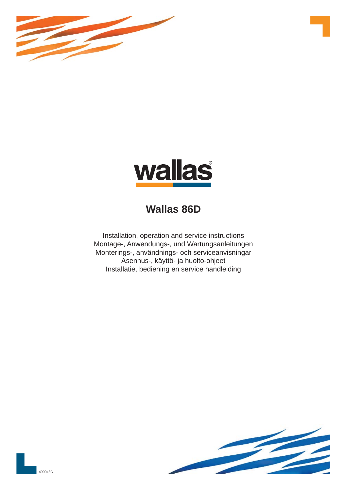



# **Wallas 86D**

Installation, operation and service instructions Montage-, Anwendungs-, und Wartungsanleitungen Monterings-, användnings- och serviceanvisningar Asennus-, käyttö- ja huolto-ohjeet Installatie, bediening en service handleiding



490048C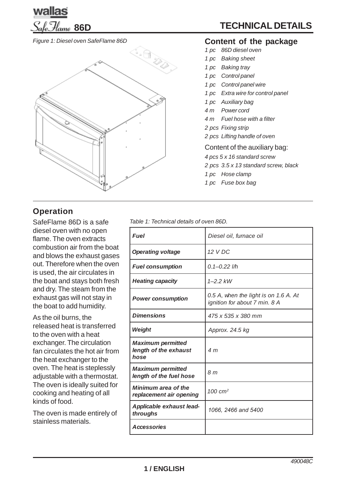

*Figure 1: Diesel oven SafeFlame 86D*



# **Operation**

SafeFlame 86D is a safe diesel oven with no open flame. The oven extracts combustion air from the boat and blows the exhaust gases out. Therefore when the oven is used, the air circulates in the boat and stays both fresh and dry. The steam from the exhaust gas will not stay in the boat to add humidity.

As the oil burns, the released heat is transferred to the oven with a heat exchanger. The circulation fan circulates the hot air from the heat exchanger to the oven. The heat is steplessly adjustable with a thermostat. The oven is ideally suited for cooking and heating of all kinds of food.

The oven is made entirely of stainless materials.

### **Content of the package**

- *1 pc 86D diesel oven*
- *1 pc Baking sheet*
- *1 pc Baking tray*
- *1 pc Control panel*
- *1 pc Control panel wire*
- *1 pc Extra wire for control panel*
- *1 pc Auxiliary bag*
- *4 m Power cord*
- *4 m Fuel hose with a filter*
- *2 pcs Fixing strip*
- *2 pcs Lifting handle of oven*

Content of the auxiliary bag:

- *4 pcs 5 x 16 standard screw*
- *2 pcs 3.5 x 13 standard screw, black*
- *1 pc Hose clamp*
- *1 pc Fuse box bag*

*Table 1: Technical details of oven 86D.*

| <b>Fuel</b>                                               | Diesel oil, furnace oil                                                |
|-----------------------------------------------------------|------------------------------------------------------------------------|
| <b>Operating voltage</b>                                  | 12 V DC                                                                |
| <b>Fuel consumption</b>                                   | $0.1 - 0.22$ I/h                                                       |
| <b>Heating capacity</b>                                   | $1 - 2.2$ kW                                                           |
| <b>Power consumption</b>                                  | 0.5 A, when the light is on 1.6 A. At<br>ignition for about 7 min. 8 A |
| <b>Dimensions</b>                                         | 475 x 535 x 380 mm                                                     |
| Weight                                                    | Approx. 24.5 kg                                                        |
| <b>Maximum permitted</b><br>length of the exhaust<br>hose | 4 <sub>m</sub>                                                         |
| <b>Maximum permitted</b><br>length of the fuel hose       | 8 m                                                                    |
| <b>Minimum area of the</b><br>replacement air opening     | $100 \, \text{cm}^2$                                                   |
| Applicable exhaust lead-<br>throughs                      | 1066, 2466 and 5400                                                    |
| <b>Accessories</b>                                        |                                                                        |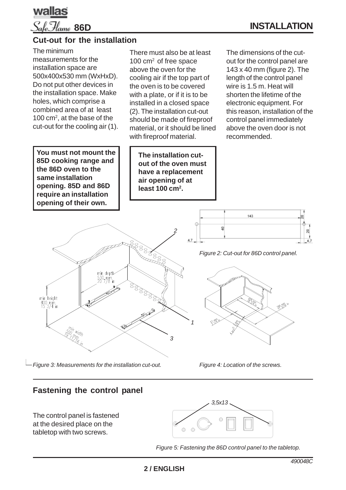

### **Cut-out for the installation**

The minimum measurements for the installation space are 500x400x530 mm (WxHxD). Do not put other devices in the installation space. Make holes, which comprise a combined area of at least 100 cm2, at the base of the cut-out for the cooling air (1).

**You must not mount the 85D cooking range and the 86D oven to the same installation opening. 85D and 86D require an installation opening of their own.**

min height  $400$ , mm.<br>15  $3/4$  in There must also be at least 100 cm<sup>2</sup> of free space above the oven for the cooling air if the top part of the oven is to be covered with a plate, or if it is to be installed in a closed space (2). The installation cut-out should be made of fireproof material, or it should be lined with fireproof material.

**The installation cutout of the oven must have a replacement air opening of at** least 100 cm<sup>2</sup>.

*2*

 $\frac{8}{200}$ 

The dimensions of the cutout for the control panel are 143 x 40 mm (figure 2). The length of the control panel wire is 1.5 m. Heat will shorten the lifetime of the electronic equipment. For this reason, installation of the control panel immediately above the oven door is not recommended.



*Figure 2: Cut-out for 86D control panel.*



*Figure 4: Location of the screws.*

**Fastening the control panel**

*Figure 3: Measurements for the installation cut-out.*

min depth  $530 - m$ m

The control panel is fastened at the desired place on the tabletop with two screws.



*Figure 5: Fastening the 86D control panel to the tabletop.*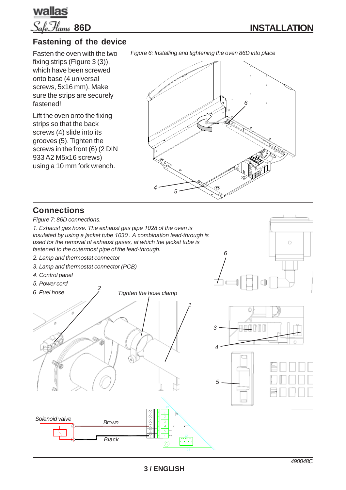

Ó

### **Fastening of the device**

Fasten the oven with the two fixing strips (Figure 3 (3)). which have been screwed onto base (4 universal screws, 5x16 mm). Make sure the strips are securely fastened!

Lift the oven onto the fixing strips so that the back screws (4) slide into its grooves (5). Tighten the screws in the front (6) (2 DIN 933 A2 M5x16 screws) using a 10 mm fork wrench.

*Figure 6: Installing and tightening the oven 86D into place*



*6*

### **Connections**

*Figure 7: 86D connections.*

*1. Exhaust gas hose. The exhaust gas pipe 1028 of the oven is insulated by using a jacket tube 1030 . A combination lead-through is used for the removal of exhaust gases, at which the jacket tube is fastened to the outermost pipe of the lead-through.*

- *2. Lamp and thermostat connector*
- *3. Lamp and thermostat connector (PCB)*
- *4. Control panel*

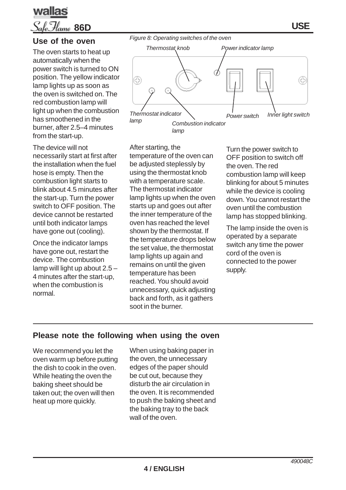



### **Use of the oven**

The oven starts to heat up automatically when the power switch is turned to ON position. The yellow indicator lamp lights up as soon as the oven is switched on. The red combustion lamp will light up when the combustion has smoothened in the burner, after 2.5–4 minutes from the start-up.

The device will not necessarily start at first after the installation when the fuel hose is empty. Then the combustion light starts to blink about 4.5 minutes after the start-up. Turn the power switch to OFF position. The device cannot be restarted until both indicator lamps have gone out (cooling).

Once the indicator lamps have gone out, restart the device. The combustion lamp will light up about 2.5 – 4 minutes after the start-up, when the combustion is normal.



After starting, the temperature of the oven can be adjusted steplessly by using the thermostat knob with a temperature scale. The thermostat indicator lamp lights up when the oven starts up and goes out after the inner temperature of the oven has reached the level shown by the thermostat. If the temperature drops below the set value, the thermostat lamp lights up again and remains on until the given temperature has been reached. You should avoid unnecessary, quick adjusting back and forth, as it gathers soot in the burner.

Turn the power switch to OFF position to switch off the oven. The red combustion lamp will keep blinking for about 5 minutes while the device is cooling down. You cannot restart the oven until the combustion lamp has stopped blinking.

The lamp inside the oven is operated by a separate switch any time the power cord of the oven is connected to the power supply.

### **Please note the following when using the oven**

We recommend you let the oven warm up before putting the dish to cook in the oven. While heating the oven the baking sheet should be taken out; the oven will then heat up more quickly.

When using baking paper in the oven, the unnecessary edges of the paper should be cut out, because they disturb the air circulation in the oven. It is recommended to push the baking sheet and the baking tray to the back wall of the oven.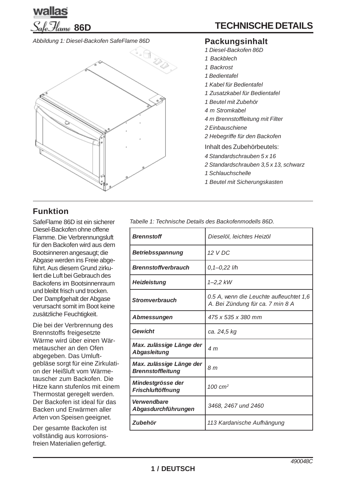

#### *Abbildung 1: Diesel-Backofen SafeFlame 86D*



# **Funktion**

SafeFlame 86D ist ein sicherer Diesel-Backofen ohne offene Flamme. Die Verbrennungsluft für den Backofen wird aus dem Bootsinneren angesaugt; die Abgase werden ins Freie abgeführt. Aus diesem Grund zirkuliert die Luft bei Gebrauch des Backofens im Bootsinnenraum und bleibt frisch und trocken. Der Dampfgehalt der Abgase verursacht somit im Boot keine zusätzliche Feuchtigkeit.

Die bei der Verbrennung des Brennstoffs freigesetzte Wärme wird über einen Wärmetauscher an den Ofen abgegeben. Das Umluftgebläse sorgt für eine Zirkulation der Heißluft vom Wärmetauscher zum Backofen. Die Hitze kann stufenlos mit einem Thermostat geregelt werden. Der Backofen ist ideal für das Backen und Erwärmen aller Arten von Speisen geeignet.

Der gesamte Backofen ist vollständig aus korrosionsfreien Materialien gefertigt.

#### **Packungsinhalt**

- *1 Diesel-Backofen 86D*
- *1 Backblech*
- *1 Backrost*
- *1 Bedientafel*
- *1 Kabel für Bedientafel*
- *1 Zusatzkabel für Bedientafel*
- *1 Beutel mit Zubehör*
- *4 m Stromkabel*
- *4 m Brennstoffleitung mit Filter*
- *2 Einbauschiene*
- *2 Hebegriffe für den Backofen*

Inhalt des Zubehörbeutels:

- *4 Standardschrauben 5 x 16*
- *2 Standardschrauben 3,5 x 13, schwarz*
- *1 Schlauchschelle*
- *1 Beutel mit Sicherungskasten*

*Tabelle 1: Technische Details des Backofenmodells 86D.*

| <b>Brennstoff</b>                                    | Dieselöl, leichtes Heizöl                                                   |  |
|------------------------------------------------------|-----------------------------------------------------------------------------|--|
| <b>Betriebsspannung</b>                              | 12 V DC                                                                     |  |
| <b>Brennstoffverbrauch</b>                           | $0,1 - 0.22$ I/h                                                            |  |
| <b>Heizleistung</b>                                  | 1–2,2 kW                                                                    |  |
| <b>Stromverbrauch</b>                                | 0.5 A, wenn die Leuchte aufleuchtet 1,6<br>A. Bei Zündung für ca. 7 min 8 A |  |
| Abmessungen                                          | 475 x 535 x 380 mm                                                          |  |
| Gewicht                                              | ca. 24,5 kg                                                                 |  |
| Max. zulässige Länge der<br><b>Abgasleitung</b>      | 4 m                                                                         |  |
| Max. zulässige Länge der<br><b>Brennstoffleitung</b> | 8 <sub>m</sub>                                                              |  |
| Mindestgrösse der<br><b>Frischluftöffnung</b>        | $100 \text{ cm}^2$                                                          |  |
| Verwendbare<br>Abgasdurchführungen                   | 3468, 2467 und 2460                                                         |  |
| <b>Zubehör</b>                                       | 113 Kardanische Aufhängung                                                  |  |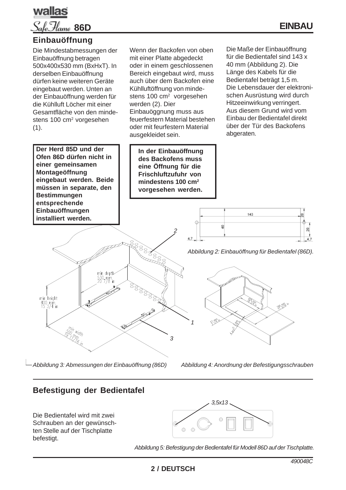

### **Einbauöffnung**

Die Mindestabmessungen der Einbauöffnung betragen 500x400x530 mm (BxHxT). In derselben Einbauöffnung dürfen keine weiteren Geräte eingebaut werden. Unten an der Einbauöffnung werden für die Kühlluft Löcher mit einer Gesamtfläche von den mindestens 100 cm<sup>2</sup> vorgesehen  $(1).$ 

**Der Herd 85D und der Ofen 86D dürfen nicht in einer gemeinsamen Montageöffnung eingebaut werden. Beide müssen in separate, den Bestimmungen entsprechende Einbauöffnungen installiert werden.**

min height  $\frac{400}{15}$  3/4 in Wenn der Backofen von oben mit einer Platte abgedeckt oder in einem geschlossenen Bereich eingebaut wird, muss auch über dem Backofen eine Kühlluftöffnung von mindestens 100 cm<sup>2</sup> vorgesehen werden (2). Dier Einbauöggnung muss aus feuerfestern Material bestehen oder mit feurfestern Material ausgekleidet sein.

**In der Einbauöffnung des Backofens muss eine Öffnung für die Frischluftzufuhr von mindestens 100 cm2 vorgesehen werden.**

*2*

2007

*1*

*3*

Die Maße der Einbauöffnung für die Bedientafel sind 143 x 40 mm (Abbildung 2). Die Länge des Kabels für die Bedientafel beträgt 1,5 m. Die Lebensdauer der elektronischen Ausrüstung wird durch Hitzeeinwirkung verringert. Aus diesem Grund wird vom Einbau der Bedientafel direkt über der Tür des Backofens abgeraten.



*Abbildung 2: Einbauöffnung für Bedientafel (86D).*



*Abbildung 4: Anordnung der Befestigungsschrauben*

# **Befestigung der Bedientafel**

*Abbildung 3: Abmessungen der Einbauöffnung (86D)*

min depth  $530 - min$ 

D.

Die Bedientafel wird mit zwei Schrauben an der gewünschten Stelle auf der Tischplatte befestigt.



*Abbildung 5: Befestigung der Bedientafel für Modell 86D auf der Tischplatte.*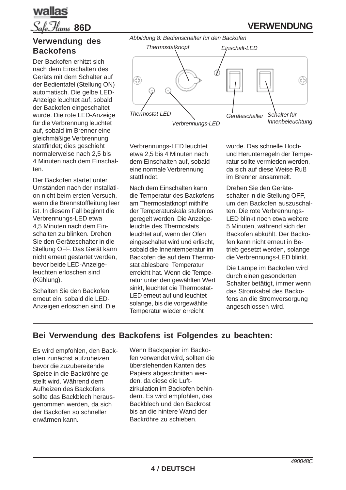

## **Verwendung des Backofens**

Der Backofen erhitzt sich nach dem Einschalten des Geräts mit dem Schalter auf der Bedientafel (Stellung ON) automatisch. Die gelbe LED-Anzeige leuchtet auf, sobald der Backofen eingeschaltet wurde. Die rote LED-Anzeige für die Verbrennung leuchtet auf, sobald im Brenner eine gleichmäßige Verbrennung stattfindet; dies geschieht normalerweise nach 2,5 bis 4 Minuten nach dem Einschalten.

Der Backofen startet unter Umständen nach der Installation nicht beim ersten Versuch, wenn die Brennstoffleitung leer ist. In diesem Fall beginnt die Verbrennungs-LED etwa 4,5 Minuten nach dem Einschalten zu blinken. Drehen Sie den Geräteschalter in die Stellung OFF. Das Gerät kann nicht erneut gestartet werden, bevor beide LED-Anzeigeleuchten erloschen sind (Kühlung).

Schalten Sie den Backofen erneut ein, sobald die LED-Anzeigen erloschen sind. Die



Verbrennungs-LED leuchtet etwa 2,5 bis 4 Minuten nach dem Einschalten auf, sobald eine normale Verbrennung stattfindet.

Nach dem Einschalten kann die Temperatur des Backofens am Thermostatknopf mithilfe der Temperaturskala stufenlos geregelt werden. Die Anzeigeleuchte des Thermostats leuchtet auf, wenn der Ofen eingeschaltet wird und erlischt, sobald die Innentemperatur im Backofen die auf dem Thermostat ablesbare Temperatur erreicht hat. Wenn die Temperatur unter den gewählten Wert sinkt, leuchtet die Thermostat-LED erneut auf und leuchtet solange, bis die vorgewählte Temperatur wieder erreicht

wurde. Das schnelle Hochund Herunterregeln der Temperatur sollte vermieden werden, da sich auf diese Weise Ruß im Brenner ansammelt.

Drehen Sie den Geräteschalter in die Stellung OFF, um den Backofen auszuschalten. Die rote Verbrennungs-LED blinkt noch etwa weitere 5 Minuten, während sich der Backofen abkühlt. Der Backofen kann nicht erneut in Betrieb gesetzt werden, solange die Verbrennungs-LED blinkt.

Die Lampe im Backofen wird durch einen gesonderten Schalter betätigt, immer wenn das Stromkabel des Backofens an die Stromversorgung angeschlossen wird.

# **Bei Verwendung des Backofens ist Folgendes zu beachten:**

Es wird empfohlen, den Backofen zunächst aufzuheizen, bevor die zuzubereitende Speise in die Backröhre gestellt wird. Während dem Aufheizen des Backofens sollte das Backblech herausgenommen werden, da sich der Backofen so schneller erwärmen kann.

Wenn Backpapier im Backofen verwendet wird, sollten die überstehenden Kanten des Papiers abgeschnitten werden, da diese die Luftzirkulation im Backofen behindern. Es wird empfohlen, das Backblech und den Backrost bis an die hintere Wand der Backröhre zu schieben.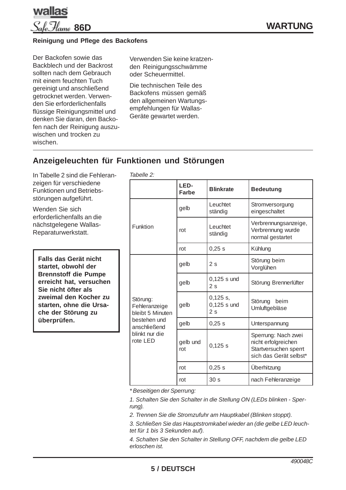

#### Reinigung und Pflege des Backofens

Der Backofen sowie das Backblech und der Backrost sollten nach dem Gebrauch mit einem feuchten Tuch gereinigt und anschließend getrocknet werden. Verwenden Sie erforderlichenfalls flüssige Reinigungsmittel und denken Sie daran, den Backofen nach der Reinigung auszuwischen und trocken zu wischen.

Verwenden Sie keine kratzenden Reinigungsschwämme oder Scheuermittel.

Die technischen Teile des Backofens müssen gemäß den allgemeinen Wartungsempfehlungen für Wallas-Geräte gewartet werden.

### Anzeigeleuchten für Funktionen und Störungen

In Tabelle 2 sind die Fehleranzeigen für verschiedene Funktionen und Betriebsstörungen aufgeführt.

Wenden Sie sich erforderlichenfalls an die nächstgelegene Wallas-Reparaturwerkstatt.

Falls das Gerät nicht startet. obwohl der **Brennstoff die Pumpe** erreicht hat. versuchen Sie nicht öfter als zweimal den Kocher zu starten, ohne die Ursache der Störung zu überprüfen.

| Tabelle 2:                                                                                                  |                      |                                   |                                                                                               |
|-------------------------------------------------------------------------------------------------------------|----------------------|-----------------------------------|-----------------------------------------------------------------------------------------------|
|                                                                                                             | LED-<br><b>Farbe</b> | <b>Blinkrate</b>                  | <b>Bedeutung</b>                                                                              |
| Funktion                                                                                                    | gelb                 | Leuchtet<br>ständig               | Stromversorgung<br>eingeschaltet                                                              |
|                                                                                                             | rot                  | Leuchtet<br>ständig               | Verbrennungsanzeige,<br>Verbrennung wurde<br>normal gestartet                                 |
|                                                                                                             | rot                  | 0,25s                             | Kühlung                                                                                       |
| Störung:<br>Fehleranzeige<br>bleibt 5 Minuten<br>bestehen und<br>anschließend<br>blinkt nur die<br>rote LED | gelb                 | 2s                                | Störung beim<br>Vorglühen                                                                     |
|                                                                                                             | gelb                 | $0,125$ s und<br>2s               | Störung Brennerlüfter                                                                         |
|                                                                                                             | gelb                 | $0,125$ s,<br>$0,125$ s und<br>2s | Störung beim<br>Umluftgebläse                                                                 |
|                                                                                                             | gelb                 | 0,25s                             | Unterspannung                                                                                 |
|                                                                                                             | gelb und<br>rot      | 0,125 s                           | Sperrung: Nach zwei<br>nicht erfolgreichen<br>Startversuchen sperrt<br>sich das Gerät selbst* |
|                                                                                                             | rot                  | 0,25s                             | Überhitzung                                                                                   |
|                                                                                                             | rot                  | 30 <sub>s</sub>                   | nach Fehleranzeige                                                                            |

\*Beseitigen der Sperrung:

1. Schalten Sie den Schalter in die Stellung ON (LEDs blinken - Sper $runq$ ).

2. Trennen Sie die Stromzufuhr am Hauptkabel (Blinken stoppt).

3. Schließen Sie das Hauptstromkabel wieder an (die gelbe LED leuchtet für 1 bis 3 Sekunden auf).

4. Schalten Sie den Schalter in Stellung OFF, nachdem die gelbe LED erloschen ist.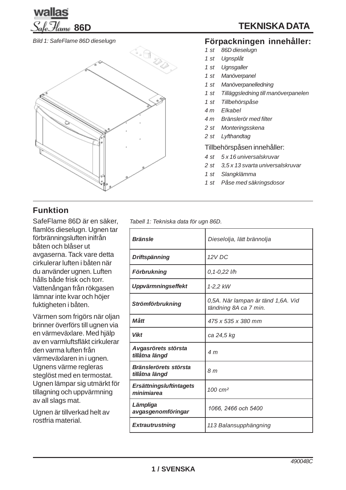

*Bild 1: SafeFlame 86D dieselugn*



# **Funktion**

SafeFlame 86D är en säker, flamlös dieselugn. Ugnen tar förbränningsluften inifrån båten och blåser ut avgaserna. Tack vare detta cirkulerar luften i båten när du använder ugnen. Luften hålls både frisk och torr. Vattenångan från rökgasen lämnar inte kvar och höjer fuktigheten i båten.

Värmen som frigörs när oljan brinner överförs till ugnen via en värmeväxlare. Med hjälp av en varmluftsfläkt cirkulerar den varma luften från värmeväxlaren in i ugnen. Ugnens värme regleras steglöst med en termostat. Ugnen lämpar sig utmärkt för tillagning och uppvärmning av all slags mat.

Ugnen är tillverkad helt av rostfria material.

**TEKNISKA DATA**

# **Förpackningen innehåller:**

- *1 st 86D dieselugn*
- *1 st Ugnsplåt*
- *1 st Ugnsgaller*
- *1 st Manöverpanel*
- *1 st Manöverpanelledning*
- *1 st Tilläggsledning till manöverpanelen*
- *1 st Tillbehörspåse*
- *4 m Elkabel*
- *4 m Bränslerör med filter*
- *2 st Monteringsskena*
- *2 st Lyfthandtag*

### Tillbehörspåsen innehåller:

- *4 st 5 x 16 universalskruvar*
- *2 st 3,5 x 13 svarta universalskruvar*
- *1 st Slangklämma*
- *1 st Påse med säkringsdosor*

*Tabell 1: Tekniska data för ugn 86D.*

| <b>Bränsle</b>                                 | Dieselolja, lätt brännolja                                  |  |
|------------------------------------------------|-------------------------------------------------------------|--|
| Driftspänning                                  | 12 V DC                                                     |  |
| <b>Förbrukning</b>                             | $0, 1 - 0, 22$ l/h                                          |  |
| <b>Uppvärmningseffekt</b>                      | 1-2,2 kW                                                    |  |
| <b>Strömförbrukning</b>                        | 0,5A. När lampan är tänd 1,6A. Vid<br>tändning 8A ca 7 min. |  |
| Mått                                           | 475 x 535 x 380 mm                                          |  |
| <b>Vikt</b>                                    | ca 24,5 kg                                                  |  |
| Avgasrörets största<br>tillåtna längd          | 4 m                                                         |  |
| <b>Bränslerörets största</b><br>tillåtna längd | 8 <sub>m</sub>                                              |  |
| <b>Ersättningsluftintagets</b><br>minimiarea   | $100 \text{ cm}^2$                                          |  |
| Lämpliga<br>avgasgenomföringar                 | 1066, 2466 och 5400                                         |  |
| <b>Extrautrustning</b>                         | 113 Balansupphängning                                       |  |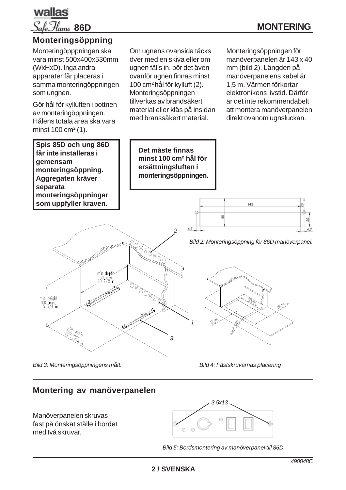

## **Monteringsöppning**

Monteringöpppningen ska vara minst 500x400x530mm (WxHxD). Inga andra apparater får placeras i samma monteringöppningen som ungnen.

Gör hål för kylluften i bottnen av monteringöppningen. Hålens totala area ska vara minst  $100 \, \text{cm}^2 (1)$ .

**Spis 85D och ung 86D får inte installeras i gemensam monteringsöppning. Aggregaten kräver separata monteringsöppningar som uppfyller kraven.**

Om ugnens ovansida täcks över med en skiva eller om ugnen fälls in, bör det även ovanför ugnen finnas minst 100 cm2 hål för kylluft (2). Monteringsöppningen tillverkas av brandsäkert material eller kläs på insidan med branssäkert material.

> **Det måste finnas minst 100 cm² hål för ersättningsluften i monteringsöppningen.**

Monteringsöppningen för manöverpanelen är 143 x 40 mm (bild 2). Längden på manöverpanelens kabel är 1,5 m. Värmen förkortar elektronikens livstid. Därför är det inte rekommendabelt att montera manöverpanelen direkt ovanom ugnsluckan.



143

ġ



*Bild 3: Monteringsöppningens mått.*

*Bild 4: Fästskruvarnas placering*

### **Montering av manöverpanelen**

Manöverpanelen skruvas fast på önskat ställe i bordet med två skruvar.



*Bild 5: Bordsmontering av manöverpanel till 86D.*

g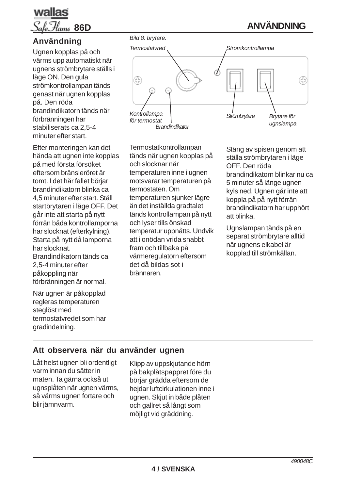# wallas **86D**

# **Användning**

Ugnen kopplas på och värms upp automatiskt när ugnens strömbrytare ställs i läge ON. Den gula strömkontrollampan tänds genast när ugnen kopplas på. Den röda brandindikatorn tänds när förbränningen har stabiliserats ca 2,5-4 minuter efter start.

Efter monteringen kan det hända att ugnen inte kopplas på med första försöket eftersom bränsleröret är tomt. I det här fallet börjar brandindikatorn blinka ca 4,5 minuter efter start. Ställ startbrytaren i läge OFF. Det går inte att starta på nytt förrän båda kontrollamporna har slocknat (efterkylning). Starta på nytt då lamporna har slocknat. Brandindikatorn tänds ca 2,5-4 minuter efter påkoppling när förbränningen är normal.

När ugnen är påkopplad regleras temperaturen steglöst med termostatvredet som har gradindelning.



Termostatkontrollampan tänds när ugnen kopplas på och slocknar när temperaturen inne i ugnen motsvarar temperaturen på termostaten. Om temperaturen sjunker lägre än det inställda gradtalet tänds kontrollampan på nytt och lyser tills önskad temperatur uppnåtts. Undvik att i onödan vrida snabbt fram och tillbaka på värmeregulatorn eftersom det då bildas sot i brännaren.

Stäng av spisen genom att ställa strömbrytaren i läge OFF. Den röda brandindikatorn blinkar nu ca 5 minuter så länge ugnen kyls ned. Ugnen går inte att koppla på på nytt förrän brandindikatorn har upphört att blinka.

**ANVÄNDNING**

Ugnslampan tänds på en separat strömbrytare alltid när ugnens elkabel är kopplad till strömkällan.

# **Att observera när du använder ugnen**

Låt helst ugnen bli ordentligt varm innan du sätter in maten. Ta gärna också ut ugnsplåten när ugnen värms, så värms ugnen fortare och blir jämnvarm.

Klipp av uppskjutande hörn på bakplåtspappret före du börjar grädda eftersom de hejdar luftcirkulationen inne i ugnen. Skjut in både plåten och gallret så långt som möjligt vid gräddning.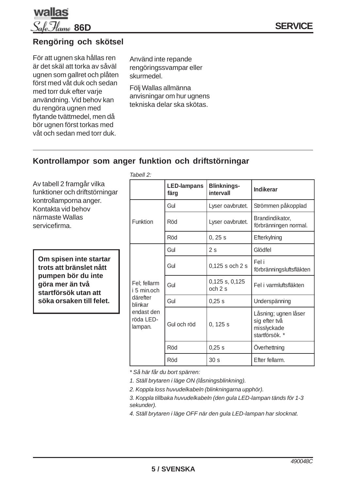

### **Rengöring och skötsel**

För att ugnen ska hållas ren är det skäl att torka av såväl ugnen som gallret och plåten först med våt duk och sedan med torr duk efter varje användning. Vid behov kan du rengöra ugnen med flytande tvättmedel, men då bör ugnen först torkas med våt och sedan med torr duk.

Använd inte repande rengöringssvampar eller skurmedel.

Följ Wallas allmänna anvisningar om hur ugnens tekniska delar ska skötas.

### **Kontrollampor som anger funktion och driftstörningar**

Av tabell 2 framgår vilka funktioner och driftstörningar kontrollamporna anger. Kontakta vid behov närmaste Wallas

servicefirma.

**Om spisen inte startar trots att bränslet nått pumpen bör du inte göra mer än två startförsök utan att söka orsaken till felet.**

| Tabell 2:                                                                                |                            |                                 |                                                                        |
|------------------------------------------------------------------------------------------|----------------------------|---------------------------------|------------------------------------------------------------------------|
|                                                                                          | <b>LED-lampans</b><br>färg | <b>Blinknings-</b><br>intervall | <b>Indikerar</b>                                                       |
|                                                                                          | Gul                        | Lyser oavbrutet.                | Strömmen påkopplad                                                     |
| Funktion                                                                                 | Röd                        | Lyser oavbrutet.                | Brandindikator,<br>förbränningen normal.                               |
|                                                                                          | Röd                        | 0, 25s                          | Efterkylning                                                           |
| Fel; fellarm<br>i 5 min.och<br>därefter<br>blinkar<br>endast den<br>röda LED-<br>lampan. | Gul                        | 2s                              | Glödfel                                                                |
|                                                                                          | Gul                        | 0,125 s och 2 s                 | Fel i<br>förbränningsluftsfläkten                                      |
|                                                                                          | Gul                        | $0,125$ s, $0,125$<br>och 2 s   | Fel i varmluftsfläkten                                                 |
|                                                                                          | Gul                        | 0,25 s                          | Underspänning                                                          |
|                                                                                          | Gul och röd                | 0, 125 s                        | Låsning; ugnen låser<br>sig efter två<br>misslyckade<br>startförsök. * |
|                                                                                          | Röd                        | 0,25 s                          | Overhettning                                                           |
|                                                                                          | Röd                        | 30 <sub>s</sub>                 | Efter fellarm.                                                         |

*\* Så här får du bort spärren:*

*1. Ställ brytaren i läge ON (låsningsblinkning).*

*2. Koppla loss huvudelkabeln (blinkningarna upphör).*

*3. Koppla tillbaka huvudelkabeln (den gula LED-lampan tänds för 1-3 sekunder).*

*4. Ställ brytaren i läge OFF när den gula LED-lampan har slocknat.*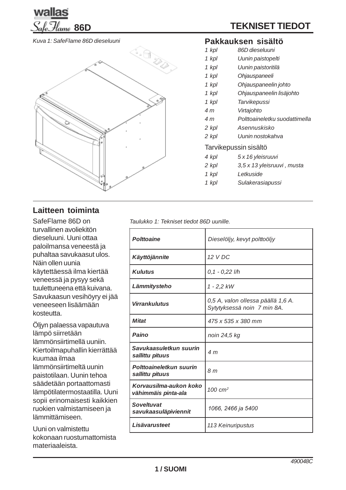

*Kuva 1: SafeFlame 86D dieseluuni*



## **Laitteen toiminta**

SafeFlame 86D on turvallinen avoliekitön dieseluuni. Uuni ottaa paloilmansa veneestä ja puhaltaa savukaasut ulos. Näin ollen uunia käytettäessä ilma kiertää veneessä ja pysyy sekä tuulettuneena että kuivana. Savukaasun vesihöyry ei jää veneeseen lisäämään kosteutta.

Öljyn palaessa vapautuva lämpö siirretään lämmönsiirtimellä uuniin. Kiertoilmapuhallin kierrättää kuumaa ilmaa lämmönsiirtimeltä uunin paistotilaan. Uunin tehoa säädetään portaattomasti lämpötilatermostaatilla. Uuni sopii erinomaisesti kaikkien ruokien valmistamiseen ja lämmittämiseen.

Uuni on valmistettu kokonaan ruostumattomista materiaaleista.

#### **Pakkauksen sisältö**

- *1 kpl 86D dieseluuni*
- *1 kpl Uunin paistopelti*
- *1 kpl Uunin paistoritilä*
- *1 kpl Ohjauspaneeli*
- *1 kpl Ohjauspaneelin johto*
- *1 kpl Ohjauspaneelin lisäjohto*
- *1 kpl Tarvikepussi*
- *4 m Virtajohto*
- *4 m Polttoaineletku suodattimella*
- *2 kpl Asennuskisko*
- *2 kpl Uunin nostokahva*

#### Tarvikepussin sisältö

- *4 kpl 5 x 16 yleisruuvi*
- *2 kpl 3,5 x 13 yleisruuvi , musta*
- *1 kpl Letkuside*
- *1 kpl Sulakerasiapussi*

*Taulukko 1: Tekniset tiedot 86D uunille.*

| <b>Polttoaine</b>                             | Dieselöljy, kevyt polttoöljy                                      |  |
|-----------------------------------------------|-------------------------------------------------------------------|--|
| Käyttöjännite                                 | 12 V DC                                                           |  |
| <b>Kulutus</b>                                | $0,1 - 0,22$ l/h                                                  |  |
| Lämmitysteho                                  | $1 - 2,2$ kW                                                      |  |
| <b>Virrankulutus</b>                          | 0,5 A, valon ollessa päällä 1,6 A.<br>Sytytyksessä noin 7 min 8A. |  |
| <b>Mitat</b>                                  | 475 x 535 x 380 mm                                                |  |
| Paino                                         | noin 24,5 kg                                                      |  |
| Savukaasuletkun suurin<br>sallittu pituus     | 4 m                                                               |  |
| Polttoaineletkun suurin<br>sallittu pituus    | 8 <sub>m</sub>                                                    |  |
| Korvausilma-aukon koko<br>vähimmäis pinta-ala | $100 \text{ cm}^2$                                                |  |
| <b>Soveltuvat</b><br>savukaasuläpiviennit     | 1066, 2466 ja 5400                                                |  |
| Lisävarusteet                                 | 113 Keinuripustus                                                 |  |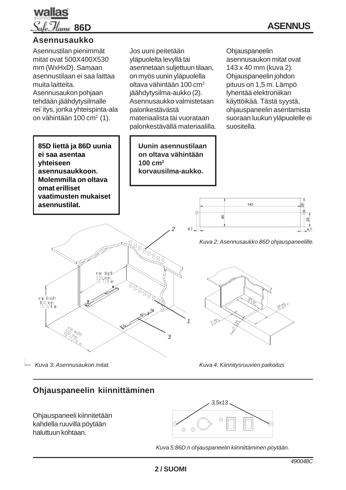

#### **Asennusaukko**



# **Ohjauspaneelin kiinnittäminen**

Ohjauspaneeli kiinnitetään kahdella ruuvilla pöytään haluttuun kohtaan.



*Kuva 5:86D:n ohjauspaneelin kiinnittäminen pöytään.*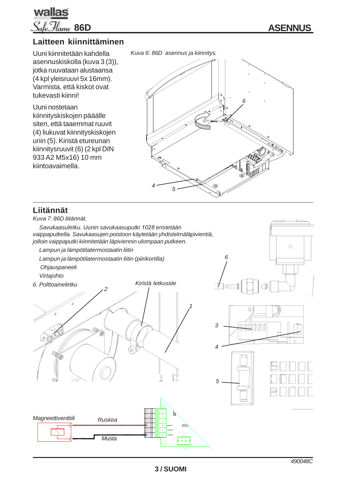

### **Laitteen kiinnittäminen**

Uuni kiinnitetään kahdella asennuskiskolla (kuva 3 (3)), jotka ruuvataan alustaansa (4 kpl yleisruuvi 5x 16mm). Varmista, että kiskot ovat tukevasti kiinni!

Uuni nostetaan kiinnityskiskojen pääälle siten, että taaemmat ruuvit (4) liukuvat kiinnityskiskojen uriin (5). Kiristä etureunan kiinnitysruuvit (6) (2 kpl DIN 933 A2 M5x16) 10 mm kiintoavaimella.

*Kuva 6: 86D asennus ja kiinnitys.*



### **Liitännät**

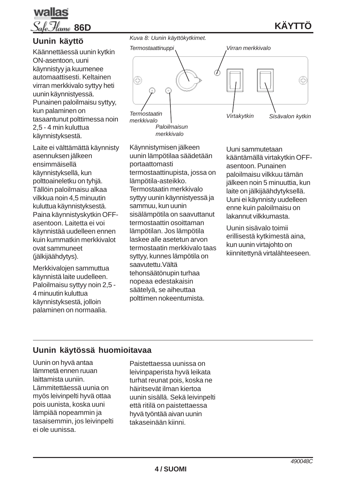

# **KÄYTTÖ**

### **Uunin käyttö**

Käännettäessä uunin kytkin ON-asentoon, uuni käynnistyy ja kuumenee automaattisesti. Keltainen virran merkkivalo syttyy heti uunin käynnistyessä. Punainen paloilmaisu syttyy, kun palaminen on tasaantunut polttimessa noin 2,5 - 4 min kuluttua käynnistyksestä.

Laite ei välttämättä käynnisty asennuksen jälkeen ensimmäisellä käynnistyksellä, kun polttoaineletku on tyhjä. Tällöin paloilmaisu alkaa vilkkua noin 4,5 minuutin kuluttua käynnistyksestä. Paina käynnistyskytkin OFFasentoon. Laitetta ei voi käynnistää uudelleen ennen kuin kummatkin merkkivalot ovat sammuneet (jälkijäähdytys).

Merkkivalojen sammuttua käynnistä laite uudelleen. Paloilmaisu syttyy noin 2,5 - 4 minuutin kuluttua käynnistyksestä, jolloin palaminen on normaalia.

*Kuva 8: Uunin käyttökytkimet.*



Käynnistymisen jälkeen uunin lämpötilaa säädetään portaattomasti termostaattinupista, jossa on lämpötila-asteikko. Termostaatin merkkivalo syttyy uunin käynnistyessä ja sammuu, kun uunin sisälämpötila on saavuttanut termostaattin osoittaman lämpötilan. Jos lämpötila laskee alle asetetun arvon termostaatin merkkivalo taas syttyy, kunnes lämpötila on saavutettu.Vältä tehonsäätönupin turhaa nopeaa edestakaisin säätelyä, se aiheuttaa polttimen nokeentumista.

Uuni sammutetaan kääntämällä virtakytkin OFFasentoon. Punainen paloilmaisu vilkkuu tämän jälkeen noin 5 minuuttia, kun laite on jälkijäähdytyksellä. Uuni ei käynnisty uudelleen enne kuin paloilmaisu on lakannut vilkkumasta.

Uunin sisävalo toimii erillisestä kytkimestä aina, kun uunin virtajohto on kiinnitettynä virtalähteeseen.

# **Uunin käytössä huomioitavaa**

Uunin on hyvä antaa lämmetä ennen ruuan laittamista uuniin. Lämmitettäessä uunia on myös leivinpelti hyvä ottaa pois uunista, koska uuni lämpiää nopeammin ja tasaisemmin, jos leivinpelti ei ole uunissa.

Paistettaessa uunissa on leivinpaperista hyvä leikata turhat reunat pois, koska ne häiritsevät ilman kiertoa uunin sisällä. Sekä leivinpelti että ritilä on paistettaessa hyvä työntää aivan uunin takaseinään kiinni.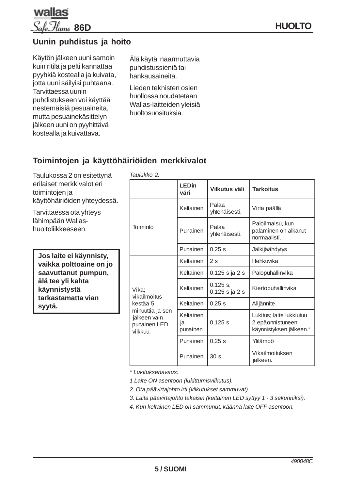

# **Uunin puhdistus ja hoito**

Käytön jälkeen uuni samoin kuin ritilä ja pelti kannattaa pyyhkiä kostealla ja kuivata, jotta uuni säilyisi puhtaana. Tarvittaessa uunin puhdistukseen voi käyttää nestemäisiä pesuaineita, mutta pesuainekäsittelyn jälkeen uuni on pyyhittävä kostealla ja kuivattava.

Älä käytä naarmuttavia puhdistussieniä tai hankausaineita.

Lieden teknisten osien huollossa noudatetaan Wallas-laitteiden yleisiä huoltosuosituksia.

# **Toimintojen ja käyttöhäiriöiden merkkivalot**

Taulukossa 2 on esitettynä erilaiset merkkivalot eri toimintojen ja käyttöhäiriöiden yhteydessä.

Tarvittaessa ota yhteys lähimpään Wallashuoltoliikkeeseen.

**Jos laite ei käynnisty, vaikka polttoaine on jo saavuttanut pumpun, älä tee yli kahta käynnistystä tarkastamatta vian syytä.**

| Taulukko 2:                                                                                       |                             |                                |                                                                         |
|---------------------------------------------------------------------------------------------------|-----------------------------|--------------------------------|-------------------------------------------------------------------------|
|                                                                                                   | <b>LEDin</b><br>väri        | Vilkutus väli                  | <b>Tarkoitus</b>                                                        |
| Toiminto                                                                                          | Keltainen                   | Palaa<br>yhtenäisesti.         | Virta päällä                                                            |
|                                                                                                   | Punainen                    | Palaa<br>yhtenäisesti.         | Paloilmaisu, kun<br>palaminen on alkanut<br>normaalisti.                |
|                                                                                                   | Punainen                    | 0,25s                          | Jälkijäähdytys                                                          |
| Vika:<br>vikailmoitus<br>kestää 5<br>minuuttia ja sen<br>jälkeen vain<br>punainen LED<br>vilkkuu. | Keltainen                   | 2 <sub>s</sub>                 | Hehkuvika                                                               |
|                                                                                                   | Keltainen                   | $0,125$ s ja 2 s               | Palopuhallinvika                                                        |
|                                                                                                   | Keltainen                   | $0,125$ s,<br>$0,125$ s ja 2 s | Kiertopuhallinvika                                                      |
|                                                                                                   | Keltainen                   | 0,25 s                         | Alijännite                                                              |
|                                                                                                   | Keltainen<br>ia<br>punainen | 0,125s                         | Lukitus; laite lukkiutuu<br>2 epäonnistuneen<br>käynnistyksen jälkeen.* |
|                                                                                                   | Punainen                    | 0,25s                          | Ylilämpö                                                                |
|                                                                                                   | Punainen                    | 30 <sub>s</sub>                | Vikailmoituksen<br>jälkeen.                                             |

*\* Lukituksenavaus:*

*1 Laite ON asentoon (lukittumisvilkutus).*

*2. Ota päävirtajohto irti (vilkutukset sammuvat).*

*3. Laita päävirtajohto takaisin (keltainen LED syttyy 1 - 3 sekunniksi).*

*4. Kun keltainen LED on sammunut, käännä laite OFF asentoon.*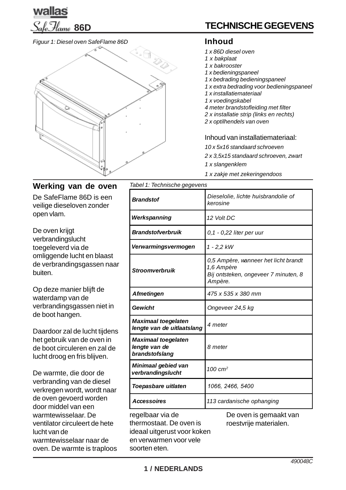

#### *Figuur 1: Diesel oven SafeFlame 86D*



# **TECHNISCHE GEGEVENS**

### **Inhoud**

- *1 x 86D diesel oven*
- *1 x bakplaat*
- *1 x bakrooster*
- *1 x bedieningspaneel*
- *1 x bedrading bedieningspaneel*
- *1 x extra bedrading voor bedieningspaneel*
- *1 x installatiemateriaal*
- *1 x voedingskabel*
- *4 meter brandstofleiding met filter*
- *2 x installatie strip (links en rechts)*
- *2 x optilhendels van oven*

#### Inhoud van installatiemateriaal:

- *10 x 5x16 standaard schroeven*
- *2 x 3,5x15 standaard schroeven, zwart*
- *1 x slangenklem*
- *1 x zakje met zekeringendoos*

De SafeFlame 86D is een veilige dieseloven zonder open vlam.

De oven krijgt verbrandingslucht toegeleverd via de omliggende lucht en blaast de verbrandingsgassen naar buiten.

Op deze manier blijft de waterdamp van de verbrandingsgassen niet in de boot hangen.

Daardoor zal de lucht tijdens het gebruik van de oven in de boot circuleren en zal de lucht droog en fris blijven.

De warmte, die door de verbranding van de diesel verkregen wordt, wordt naar de oven gevoerd worden door middel van een warmtewisselaar. De ventilator circuleert de hete lucht van de warmtewisselaar naar de oven. De warmte is traploos **Werking van de oven** *Tabel 1: Technische gegevens*

| Brandstof                                                                                                             | Dieselolie, lichte huisbrandolie of<br>kerosine                                                       |  |
|-----------------------------------------------------------------------------------------------------------------------|-------------------------------------------------------------------------------------------------------|--|
| Werkspanning                                                                                                          | 12 Volt DC                                                                                            |  |
| <b>Brandstofverbruik</b>                                                                                              | 0,1 - 0,22 liter per uur                                                                              |  |
| Verwarmingsvermogen                                                                                                   | $1 - 2,2$ kW                                                                                          |  |
| <b>Stroomverbruik</b>                                                                                                 | 0,5 Ampère, wanneer het licht brandt<br>1,6 Ampère<br>Bij ontsteken, ongeveer 7 minuten, 8<br>Ampère. |  |
| <b>Afmetingen</b>                                                                                                     | 475 x 535 x 380 mm                                                                                    |  |
| Gewicht                                                                                                               | Ongeveer 24,5 kg                                                                                      |  |
| <b>Maximaal toegelaten</b><br>lengte van de uitlaatslang                                                              | 4 meter                                                                                               |  |
| <b>Maximaal toegelaten</b><br>lengte van de<br>brandstofslang                                                         | 8 meter                                                                                               |  |
| Minimaal gebied van<br>verbrandingslucht                                                                              | $100 \text{ cm}^2$                                                                                    |  |
| Toepasbare uitlaten                                                                                                   | 1066, 2466, 5400                                                                                      |  |
| <b>Accessoires</b>                                                                                                    | 113 cardanische ophanging                                                                             |  |
| regelbaar via de<br>thermostaat. De oven is<br>ideaal uitgerust voor koken<br>en verwarmen voor vele<br>soorten eten. | De oven is gemaakt van<br>roestvrije materialen.                                                      |  |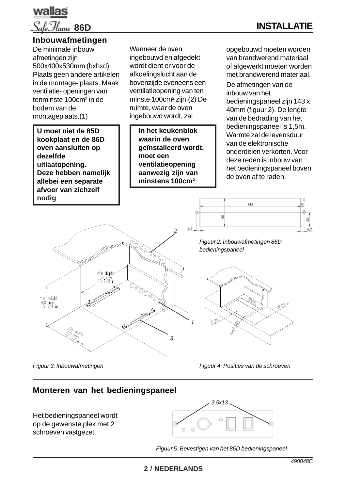

# **INSTALLATIE**

#### **Inbouwafmetingen**

De minimale inbouw afmetingen zijn 500x400x530mm (bxhxd) Plaats geen andere artikelen in de montage- plaats. Maak ventilatie- openingen van tenminste 100cm² in de bodem van de montageplaats.(1)

**U moet niet de 85D kookplaat en de 86D oven aansluiten op dezelfde uitlaatopening. Deze hebben namelijk allebei een separate afvoer van zichzelf nodig**

Wanneer de oven ingebouwd en afgedekt wordt dient er voor de afkoelingslucht aan de bovenzijde eveneens een ventilatieopening van ten minste 100cm² zijn.(2) De ruimte, waar de oven ingebouwd wordt, zal

> **In het keukenblok waarin de oven geïnstalleerd wordt, moet een ventilatieopening aanwezig zijn van minstens 100cm²**

opgebouwd moeten worden van brandwerend materiaal of afgewerkt moeten worden met brandwerend materiaal. De afmetingen van de inbouw van het bedieningspaneel zijn 143 x 40mm (figuur 2). De lengte van de bedrading van het bedieningspaneel is 1,5m. Warmte zal de levensduur van de elektronische onderdelen verkorten. Voor deze reden is inbouw van het bedieningspaneel boven de oven af te raden.



*bedieningspaneel*

*Figuur 2: Inbouwafmetingen 86D*

ġ

143



*Figuur 3: Inbouwafmetingen*

*Figuur 4: Posities van de schroeven*

### **Monteren van het bedieningspaneel**

Het bedieningspaneel wordt op de gewenste plek met 2 schroeven vastgezet.



*Figuur 5: Bevestigen van het 86D bedieningspaneel*

g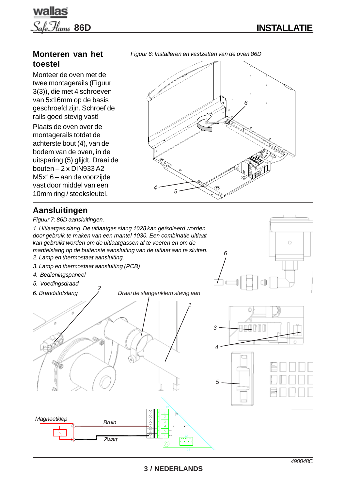

Ó

# wallas **86D**

# **Monteren van het toestel**

Monteer de oven met de twee montagerails (Figuur 3(3)), die met 4 schroeven van 5x16mm op de basis geschroefd zijn. Schroef de rails goed stevig vast!

Plaats de oven over de montagerails totdat de achterste bout (4), van de bodem van de oven, in de uitsparing (5) glijdt. Draai de bouten – 2 x DIN933 A2 M5x16 – aan de voorzijde vast door middel van een 10mm ring / steeksleutel.

# *Figuur 6: Installeren en vastzetten van de oven 86D*



*6*

# **Aansluitingen**

*Figuur 7: 86D aansluitingen.*

*1. Uitlaatgas slang. De uitlaatgas slang 1028 kan geïsoleerd worden door gebruik te maken van een mantel 1030. Een combinatie uitlaat kan gebruikt worden om de uitlaatgassen af te voeren en om de mantelslang op de buitenste aansluiting van de uitlaat aan te sluiten.*

- *2. Lamp en thermostaat aansluiting.*
- *3. Lamp en thermostaat aansluiting (PCB)*
- *4. Bedieningspaneel*
- *5. Voedingsdraad*

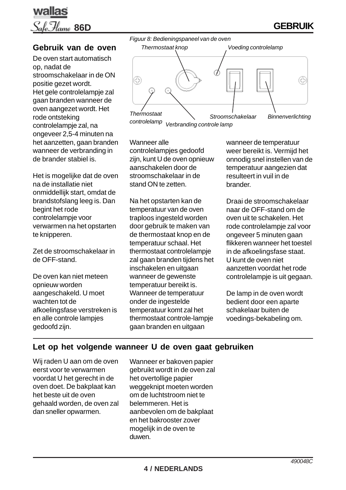

# **Gebruik van de oven**

De oven start automatisch op, nadat de stroomschakelaar in de ON positie gezet wordt. Het gele controlelampje zal gaan branden wanneer de oven aangezet wordt. Het rode ontsteking controlelampje zal, na ongeveer 2,5-4 minuten na het aanzetten, gaan branden wanneer de verbranding in de brander stabiel is.

Het is mogelijke dat de oven na de installatie niet onmiddellijk start, omdat de brandstofslang leeg is. Dan begint het rode controlelampje voor verwarmen na het opstarten te knipperen.

Zet de stroomschakelaar in de OFF-stand.

De oven kan niet meteen opnieuw worden aangeschakeld. U moet wachten tot de afkoelingsfase verstreken is en alle controle lampjes gedoofd zijn.



*Viermosiaal*<br> *Controlelamp Verbranding controle lamp*<br> *Controlelamp Verbranding controle lamp* 

Wanneer alle controlelampjes gedoofd zijn, kunt U de oven opnieuw aanschakelen door de stroomschakelaar in de stand ON te zetten.

Na het opstarten kan de temperatuur van de oven traploos ingesteld worden door gebruik te maken van de thermostaat knop en de temperatuur schaal. Het thermostaat controlelampje zal gaan branden tijdens het inschakelen en uitgaan wanneer de gewenste temperatuur bereikt is. Wanneer de temperatuur onder de ingestelde temperatuur komt zal het thermostaat controle-lampje gaan branden en uitgaan

wanneer de temperatuur weer bereikt is. Vermijd het onnodig snel instellen van de temperatuur aangezien dat resulteert in vuil in de brander.

Draai de stroomschakelaar naar de OFF-stand om de oven uit te schakelen. Het rode controlelampje zal voor ongeveer 5 minuten gaan flikkeren wanneer het toestel in de afkoelingsfase staat. U kunt de oven niet aanzetten voordat het rode controlelampje is uit gegaan.

De lamp in de oven wordt bedient door een aparte schakelaar buiten de voedings-bekabeling om.

### **Let op het volgende wanneer U de oven gaat gebruiken**

Wij raden U aan om de oven eerst voor te verwarmen voordat U het gerecht in de oven doet. De bakplaat kan het beste uit de oven gehaald worden, de oven zal dan sneller opwarmen.

Wanneer er bakoven papier gebruikt wordt in de oven zal het overtollige papier weggeknipt moeten worden om de luchtstroom niet te belemmeren. Het is aanbevolen om de bakplaat en het bakrooster zover mogelijk in de oven te duwen.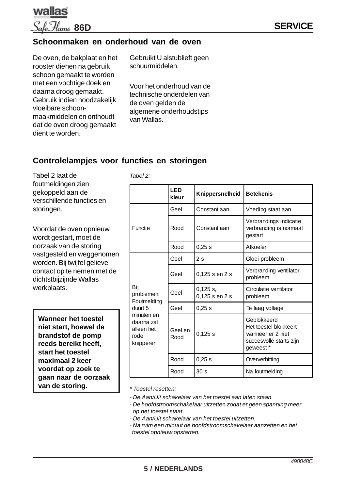

### **Schoonmaken en onderhoud van de oven**

De oven, de bakplaat en het rooster dienen na gebruik schoon gemaakt te worden met een vochtige doek en daarna droog gemaakt. Gebruik indien noodzakelijk vloeibare schoonmaakmiddelen en onthoudt dat de oven droog gemaakt dient te worden.

Gebruikt U alstublieft geen schuurmiddelen.

Voor het onderhoud van de technische onderdelen van de oven gelden de algemene onderhoudstips van Wallas.

### **Controlelampjes voor functies en storingen**

*Tabel 2:*

Tabel 2 laat de foutmeldingen zien gekoppeld aan de verschillende functies en storingen.

Voordat de oven opnieuw wordt gestart, moet de oorzaak van de storing vastgesteld en weggenomen worden. Bij twijfel gelieve contact op te nemen met de dichtstbijzijnde Wallas werkplaats.

**Wanneer het toestel niet start, hoewel de brandstof de pomp reeds bereikt heeft, start het toestel maximaal 2 keer voordat op zoek te gaan naar de oorzaak van de storing.**

|                                                                                                            | <b>LED</b><br>kleur | Knippersnelheid              | <b>Betekenis</b>                                                                                  |
|------------------------------------------------------------------------------------------------------------|---------------------|------------------------------|---------------------------------------------------------------------------------------------------|
| Functie                                                                                                    | Geel                | Constant aan                 | Voeding staat aan                                                                                 |
|                                                                                                            | Rood                | Constant aan                 | Verbrandings indicatie<br>verbranding is normaal<br>gestart                                       |
|                                                                                                            | Rood                | 0,25s                        | Afkoelen                                                                                          |
| Bij<br>problemen;<br>Foutmelding<br>duurt 5<br>minuten en<br>daarna zal<br>alleen het<br>rode<br>knipperen | Geel                | 2s                           | Gloei probleem                                                                                    |
|                                                                                                            | Geel                | 0,125 s en 2 s               | Verbranding ventilator<br>probleem                                                                |
|                                                                                                            | Geel                | $0,125$ s,<br>0,125 s en 2 s | Circulatie ventilator<br>probleem                                                                 |
|                                                                                                            | Geel                | 0,25s                        | Te laag voltage                                                                                   |
|                                                                                                            | Geel en<br>Rood     | 0,125s                       | Geblokkeerd<br>Het toestel blokkeert<br>wanneer er 2 niet<br>succesvolle starts zijn<br>geweest * |
|                                                                                                            | Rood                | 0,25 s                       | Oververhitting                                                                                    |
|                                                                                                            | Rood                | 30 <sub>s</sub>              | Na foutmelding                                                                                    |

*\* Toestel resetten:*

- *De Aan/Uit schakelaar van het toestel aan laten staan.*
- *De hoofdstroomschakelaar uitzetten zodat er geen spanning meer op het toestel staat.*
- *De Aan/Uit schakelaar van het toestel uitzetten.*
- *Na ruim een minuut de hoofdstroomschakelaar aanzetten en het toestel opnieuw opstarten.*